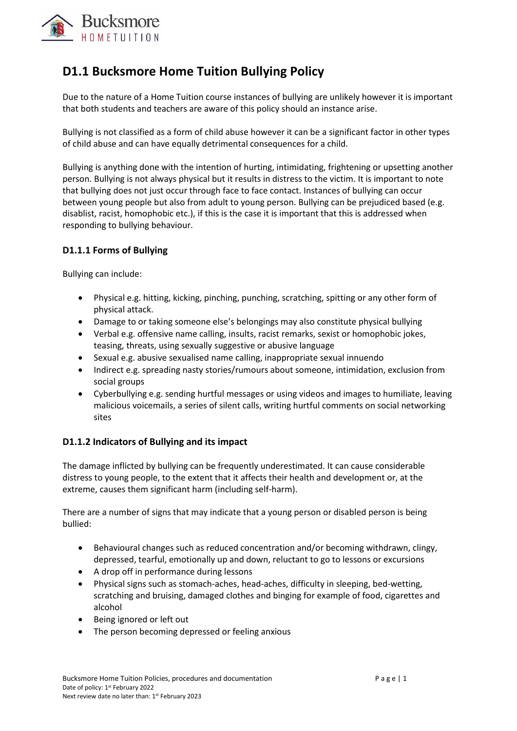

## **D1.1 Bucksmore Home Tuition Bullying Policy**

Due to the nature of a Home Tuition course instances of bullying are unlikely however it is important that both students and teachers are aware of this policy should an instance arise.

Bullying is not classified as a form of child abuse however it can be a significant factor in other types of child abuse and can have equally detrimental consequences for a child.

Bullying is anything done with the intention of hurting, intimidating, frightening or upsetting another person. Bullying is not always physical but it results in distress to the victim. It is important to note that bullying does not just occur through face to face contact. Instances of bullying can occur between young people but also from adult to young person. Bullying can be prejudiced based (e.g. disablist, racist, homophobic etc.), if this is the case it is important that this is addressed when responding to bullying behaviour.

## **D1.1.1 Forms of Bullying**

Bullying can include:

- Physical e.g. hitting, kicking, pinching, punching, scratching, spitting or any other form of physical attack.
- Damage to or taking someone else's belongings may also constitute physical bullying
- Verbal e.g. offensive name calling, insults, racist remarks, sexist or homophobic jokes, teasing, threats, using sexually suggestive or abusive language
- Sexual e.g. abusive sexualised name calling, inappropriate sexual innuendo
- Indirect e.g. spreading nasty stories/rumours about someone, intimidation, exclusion from social groups
- Cyberbullying e.g. sending hurtful messages or using videos and images to humiliate, leaving malicious voicemails, a series of silent calls, writing hurtful comments on social networking sites

## **D1.1.2 Indicators of Bullying and its impact**

The damage inflicted by bullying can be frequently underestimated. It can cause considerable distress to young people, to the extent that it affects their health and development or, at the extreme, causes them significant harm (including self-harm).

There are a number of signs that may indicate that a young person or disabled person is being bullied:

- Behavioural changes such as reduced concentration and/or becoming withdrawn, clingy, depressed, tearful, emotionally up and down, reluctant to go to lessons or excursions
- A drop off in performance during lessons
- Physical signs such as stomach-aches, head-aches, difficulty in sleeping, bed-wetting, scratching and bruising, damaged clothes and binging for example of food, cigarettes and alcohol
- Being ignored or left out
- The person becoming depressed or feeling anxious